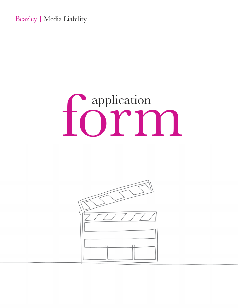Beazley | Media Liability

# forma

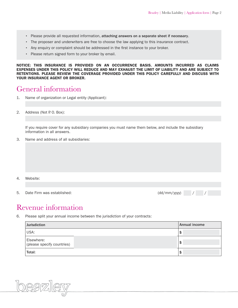- Please provide all requested information, attaching answers on a separate sheet if necessary.
- The proposer and underwriters are free to choose the law applying to this insurance contract.
- Any enquiry or complaint should be addressed in the first instance to your broker.
- Please return signed form to your broker by email.

NOTICE: THIS INSURANCE IS PROVIDED ON AN OCCURRENCE BASIS. AMOUNTS INCURRED AS CLAIMS EXPENSES UNDER THIS POLICY WILL REDUCE AND MAY EXHAUST THE LIMIT OF LIABILITY AND ARE SUBJECT TO RETENTIONS. PLEASE REVIEW THE COVERAGE PROVIDED UNDER THIS POLICY CAREFULLY AND DISCUSS WITH YOUR INSURANCE AGENT OR BROKER.

#### General information

- 1. Name of organization or Legal entity (Applicant):
- 2. Address (Not P.O. Box):

If you require cover for any subsidiary companies you must name them below, and include the subsidiary information in all answers.

3. Name and address of all subsidiaries:

- 4. Website:
- 5. Date Firm was established:  $(dd/mm/yyy)$  / /



#### Revenue information

6. Please split your annual income between the jurisdiction of your contracts:

| <b>Jurisdiction</b>                      | Annual income |
|------------------------------------------|---------------|
| USA:                                     |               |
| Elsewhere:<br>(please specify countries) | э             |
| Total:                                   | э             |

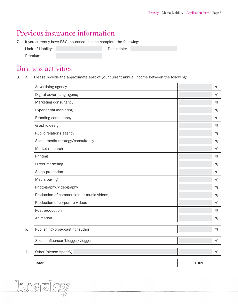## Previous insurance information

7. If you currently have E&O insurance, please complete the following:

| Limit of Liability: | Deductible: |  |
|---------------------|-------------|--|
| Premium:            |             |  |

### Business activities

8. a. Please provide the approximate split of your current annual income between the following:

|    | Advertising agency                        |      | %    |
|----|-------------------------------------------|------|------|
|    | Digital advertising agency                |      | %    |
|    | Marketing consultancy                     |      | %    |
|    | <b>Experiential marketing</b>             |      | %    |
|    | <b>Branding consultancy</b>               |      | %    |
|    | Graphic design                            |      | %    |
|    | Public relations agency                   |      | %    |
|    | Social media strategy/consultancy         |      | %    |
|    | Market research                           |      | %    |
|    | Printing                                  |      | %    |
|    | Direct marketing                          |      | %    |
|    | Sales promotion                           |      | %    |
|    | Media buying                              |      | %    |
|    | Photography/videography                   |      | %    |
|    | Production of commercials or music videos |      | %    |
|    | Production of corporate videos            |      | %    |
|    | Post production                           |      | %    |
|    | Animation                                 |      | $\%$ |
| b. | Publishing/broadcasting/author:           |      | $\%$ |
| C. | Social influencer/blogger/vlogger         |      | $\%$ |
| d. | Other (please specify)                    |      | %    |
|    | Total:                                    | 100% |      |

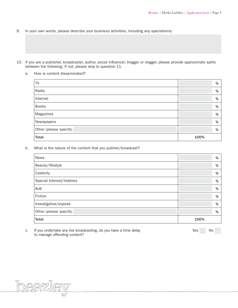- 9. In your own words, please describe your business activities, including any specialisms:
- 10. If you are a publisher, broadcaster, author, social influencer, blogger or vlogger, please provide approximate splits between the following. If not, please skip to question 11.
	- a. How is content disseminated?

| TV                     | %    |
|------------------------|------|
| Radio                  | %    |
| Internet               | %    |
| <b>Books</b>           | %    |
| Magazines              | %    |
| Newspapers             | %    |
| Other (please specify) | %    |
| Total:                 | 100% |

b. What is the nature of the content that you publish/broadcast?

| <b>News</b>              | %    |
|--------------------------|------|
| Beauty/lifestyle         | %    |
| Celebrity                | %    |
| Special Interest/hobbies | %    |
| B <sub>2</sub> B         | %    |
| Fiction                  | %    |
| Investigative/exposé     | %    |
| Other (please specify)   | %    |
| Total:                   | 100% |

c. If you undertake any live broadcasting, do you have a time delay example that the Yes No to manage offending content?

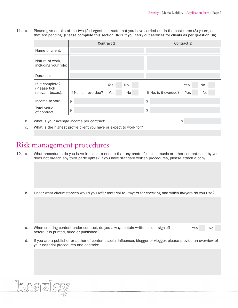11. a. Please give details of the two (2) largest contracts that you have carried out in the past three (3) years, or that are pending. (Please complete this section ONLY if you carry out services for clients as per Question 8a).

|                                                     | <b>Contract 1</b>     |            |          |                       | <b>Contract 2</b>       |
|-----------------------------------------------------|-----------------------|------------|----------|-----------------------|-------------------------|
| Name of client:                                     |                       |            |          |                       |                         |
| Nature of work,<br>including your role:             |                       |            |          |                       |                         |
| Duration:                                           |                       |            |          |                       |                         |
| Is it complete?<br>(Please tick<br>relevant boxes): | If No, is it overdue? | Yes<br>Yes | No<br>No | If No, is it overdue? | Yes<br>No.<br>Yes<br>No |
| Income to you:                                      | \$                    |            |          | \$                    |                         |
| Total value<br>of contract:                         | \$                    |            |          | \$                    |                         |

b. What is your average income per contract?  $\qquad \qquad$  \$

c. What is the highest profile client you have or expect to work for?

#### Risk management procedures

beazler

- 12. a. What procedures do you have in place to ensure that any photo, film clip, music or other content used by you does not breach any third party rights? If you have standard written procedures, please attach a copy.
	- b. Under what circumstances would you refer material to lawyers for checking and which lawyers do you use?
	- c. When creating content under contract, do you always obtain written client sign-off Yes No before it is printed, aired or published?
	- d. If you are a publisher or author of content, social influencer, blogger or vlogger, please provide an overview of your editorial procedures and controls: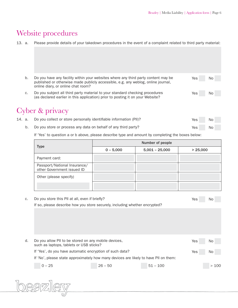# Website procedures

|  |  |  | 13. a. Please provide details of your takedown procedures in the event of a complaint related to third party material: |  |  |
|--|--|--|------------------------------------------------------------------------------------------------------------------------|--|--|
|--|--|--|------------------------------------------------------------------------------------------------------------------------|--|--|

| b. | Do you have any facility within your websites where any third party content may be<br>published or otherwise made publicly accessible, e.g. any weblog, online journal, | Yes | No. |
|----|-------------------------------------------------------------------------------------------------------------------------------------------------------------------------|-----|-----|
|    | online diary, or online chat room?                                                                                                                                      |     |     |
| C. | Do you subject all third party material to your standard checking procedures<br>(as declared earlier in this application) prior to posting it on your Website?          | Yes | No  |
|    | Cyber & privacy                                                                                                                                                         |     |     |

|  | 14. a. Do you collect or store personally identifiable information (PII)? | Yes | No |  |
|--|---------------------------------------------------------------------------|-----|----|--|
|  | b. Do you store or process any data on behalf of any third party?         | Yes | No |  |

If 'Yes' to question a or b above, please describe type and amount by completing the boxes below:

|                                                            | Number of people |                  |          |  |
|------------------------------------------------------------|------------------|------------------|----------|--|
| <b>Type</b>                                                | $0 - 5,000$      | $5,001 - 25,000$ | > 25,000 |  |
| Payment card:                                              |                  |                  |          |  |
| Passport/National Insurance/<br>other Government issued ID |                  |                  |          |  |
| Other (please specify)                                     |                  |                  |          |  |
|                                                            |                  |                  |          |  |

| C.                                                                                   | Do you store this PII at all, even if briefly?                              |           |            | Yes | No   |
|--------------------------------------------------------------------------------------|-----------------------------------------------------------------------------|-----------|------------|-----|------|
|                                                                                      | If so, please describe how you store securely, including whether encrypted? |           |            |     |      |
|                                                                                      |                                                                             |           |            |     |      |
|                                                                                      |                                                                             |           |            |     |      |
|                                                                                      |                                                                             |           |            |     |      |
|                                                                                      |                                                                             |           |            |     |      |
| d.                                                                                   | Do you allow PII to be stored on any mobile devices,                        |           |            | Yes | No   |
|                                                                                      | such as laptops, tablets or USB sticks?                                     |           |            |     |      |
|                                                                                      | If 'Yes', do you have automatic encryption of such data?                    |           |            | Yes | No   |
| If 'No', please state approximately how many devices are likely to have PII on them: |                                                                             |           |            |     |      |
|                                                                                      | $0 - 25$                                                                    | $26 - 50$ | $51 - 100$ |     | >100 |
|                                                                                      |                                                                             |           |            |     |      |
|                                                                                      |                                                                             |           |            |     |      |
|                                                                                      |                                                                             |           |            |     |      |
|                                                                                      |                                                                             |           |            |     |      |
|                                                                                      |                                                                             |           |            |     |      |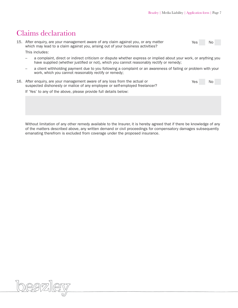#### Claims declaration

| 15. After enguiry, are your management aware of any claim against you, or any matter | Yes | <b>No</b> |
|--------------------------------------------------------------------------------------|-----|-----------|
| which may lead to a claim against you, arising out of your business activities?      |     |           |
| This includes:                                                                       |     |           |
|                                                                                      |     |           |

- a complaint, direct or indirect criticism or dispute whether express or implied about your work, or anything you have supplied (whether justified or not), which you cannot reasonably rectify or remedy;
- a client withholding payment due to you following a complaint or an awareness of failing or problem with your work, which you cannot reasonably rectify or remedy;
- 16. After enquiry, are your management aware of any loss from the actual or Yes Yes No suspected dishonesty or malice of any employee or self-employed freelancer?

If 'Yes' to any of the above, please provide full details below:

 Without limitation of any other remedy available to the Insurer, it is hereby agreed that if there be knowledge of any of the matters described above, any written demand or civil proceedings for compensatory damages subsequently emanating therefrom is excluded from coverage under the proposed insurance.

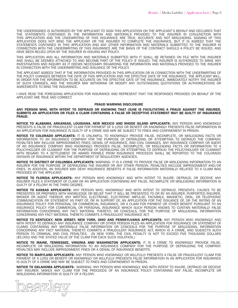THE UNDERSIGNED IS AUTHORIZED BY THE APPLICANT TO SIGN THIS APPLICATION ON THE APPLICANT'S BEHALF AND DECLARES THAT THE STATEMENTS CONTAINED IN THE INFORMATION AND MATERIALS PROVIDED TO THE INSURER IN CONJUNCTION WITH THIS APPLICATION AND THE UNDEWRITING OF THIS INSURANCE ARE TRUE, ACCURATE AND NOT MISLEADING. SIGNING OF THIS APPLICATION DOES NOT BIND THE APPLICANT OR THE INSURER TO COMPLETE THE INSURANCE, BUT IT IS AGREED THAT THE STATEMENTS CONTAINED IN THIS APPLICATION AND ANY OTHER INFORMATION AND MATERIALS SUBMITTED TO THE INSURER IN CONNECTION WITH THE UNDERWRITING OF THIS INSURANCE ARE THE BASIS OF THE CONTRACT SHOULD A POLICY BE ISSUED, AND HAVE BEEN RELIED UPON BY THE INSURER IN ISSUING ANY POLICY.

THIS APPLICATION AND ALL INFORMATION AND MATERIALS SUBMITTED WITH IT SHALL BE RETAINED ON FILE WITH THE INSURER AND SHALL BE DEEMED ATTACHED TO AND BECOME PART OF THE POLICY IF ISSUED. THE INSURER IS AUTHORIZED TO MAKE ANY INVESTIGATION AND INQUIRY AS IT DEEMS NECESSARY REGARDING THE INFORMATION AND MATERIALS PROVIDED TO THE INSURER IN CONNECTION WITH THE UNDERWRITING AND ISSUANCE OF THE POLICY.

THE APPLICANT AGREES THAT IF THE INFORMATION PROVIDED IN THIS APPLICATION OR IN CONNECTION WITH THE UNDERWRITING OF THE POLICY CHANGES BETWEEN THE DATE OF THIS APPLICATION AND THE EFFECTIVE DATE OF THE INSURANCE, THE APPLICANT WILL, IN ORDER FOR THE INFORMATION TO BE ACCURATE ON THE EFFECTIVE DATE OF THE INSURANCE, IMMEDIATELY NOTIFY THE INSURER OF SUCH CHANGES, AND THE INSURER MAY WITHDRAW OR MODIFY ANY OUTSTANDING QUOTATIONS OR AUTHORIZATIONS OR AGREEMENTS TO BIND THE INSURANCE.

I HAVE READ THE FOREGOING APPLICATION FOR INSURANCE AND REPRESENT THAT THE RESPONSES PROVIDED ON BEHALF OF THE APPLICANT ARE TRUE AND CORRECT.

#### FRAUD WARNING DISCLOSURE

ANY PERSON WHO, WITH INTENT TO DEFRAUD OR KNOWING THAT (S)HE IS FACILITATING A FRAUD AGAINST THE INSURER, SUBMITS AN APPLICATION OR FILES A CLAIM CONTAINING A FALSE OR DECEPTIVE STATEMENT MAY BE GUILTY OF INSURANCE FRAUD.

NOTICE TO ALABAMA, ARKANSAS, LOUISIANA, NEW MEXICO AND RHODE ISLAND APPLICANTS: ANY PERSON WHO KNOWINGLY PRESENTS A FALSE OR FRAUDULENT CLAIM FOR PAYMENT OF A LOSS OR BENEFIT OR KNOWINGLY PRESENTS FALSE INFORMATION IN AN APPLICATION FOR INSURANCE IS GUILTY OF A CRIME AND MAY BE SUBJECT TO FINES AND CONFINEMENT IN PRISON.

NOTICE TO COLORADO APPLICANTS: IT IS UNLAWFUL TO KNOWINGLY PROVIDE FALSE, INCOMPLETE, OR MISLEADING FACTS OR INFORMATION TO AN INSURANCE COMPANY FOR THE PURPOSE OF DEFRAUDING OR ATTEMPTING TO DEFRAUD THE COMPANY. PENALTIES MAY INCLUDE IMPRISONMENT, FINES, DENIAL OF INSURANCE, AND CIVIL DAMAGES. ANY INSURANCE COMPANY OR AGENT OF AN INSURANCE COMPANY WHO KNOWINGLY PROVIDES FALSE, INCOMPLETE, OR MISLEADING FACTS OR INFORMATION TO A POLICYHOLDER OR CLAIMANT FOR THE PURPOSE OF DEFRAUDING OR ATTEMPTING TO DEFRAUD THE POLICYHOLDER OR CLAIMANT WITH REGARD TO A SETTLEMENT OR AWARD PAYABLE FROM INSURANCE PROCEEDS SHALL BE REPORTED TO THE COLORADO DIVISION OF INSURANCE WITHIN THE DEPARTMENT OF REGULATORY AGENCIES.

NOTICE TO DISTRICT OF COLUMBIA APPLICANTS: WARNING: IT IS A CRIME TO PROVIDE FALSE OR MISLEADING INFORMATION TO AN INSURER FOR THE PURPOSE OF DEFRAUDING THE INSURER OR ANY OTHER PERSON. PENALTIES INCLUDE IMPRISONMENT AND/OR FINES. IN ADDITION, AN INSURER MAY DENY INSURANCE BENEFITS IF FALSE INFORMATION MATERIALLY RELATED TO A CLAIM WAS PROVIDED BY THE APPLICANT.

NOTICE TO FLORIDA APPLICANTS: ANY PERSON WHO KNOWINGLY AND WITH INTENT TO INJURE, DEFRAUD, OR DECEIVE ANY INSURER FILES A STATEMENT OF CLAIM OR AN APPLICATION CONTAINING ANY FALSE, INCOMPLETE OR MISLEADING INFORMATION IS GUILTY OF A FELONY IN THE THIRD DEGREE.

NOTICE TO KANSAS APPLICANTS: ANY PERSON WHO, KNOWINGLY AND WITH INTENT TO DEFRAUD, PRESENTS, CAUSES TO BE PRESENTED OR PREPARES WITH KNOWLEDGE OR BELIEF THAT IT WILL BE PRESENTED TO OR BY AN INSURER, PURPORTED INSURER, BROKER OR AGENT THEREOF, ANY WRITTEN, ELECTRONIC, ELECTRONIC IMPULSE, FACSIMILE, MAGNETIC, ORAL, OR TELEPHONIC COMMUNICATION OR STATEMENT AS PART OF, OR IN SUPPORT OF, AN APPLICATION FOR THE ISSUANCE OF, OR THE RATING OF AN INSURANCE POLICY FOR PERSONAL OR COMMERCIAL INSURANCE, OR A CLAIM FOR PAYMENT OR OTHER BENEFIT PURSUANT TO AN INSURANCE POLICY FOR COMMERCIAL OR PERSONAL INSURANCE WHICH SUCH PERSON KNOWS TO CONTAIN MATERIALLY FALSE INFORMATION CONCERNING ANY FACT MATERIAL THERETO; OR CONCEALS, FOR THE PURPOSE OF MISLEADING, INFORMATION CONCERNING ANY FACT MATERIAL THERETO COMMITS A FRAUDULENT INSURANCE ACT.

NOTICE TO KENTUCKY, NEW JERSEY, NEW YORK, OHIO AND PENNSYLVANIA APPLICANTS: ANY PERSON WHO KNOWINGLY AND WITH INTENT TO DEFRAUD ANY INSURANCE COMPANY OR OTHER PERSON FILES AN APPLICATION FOR INSURANCE OR STATEMENT OF CLAIMS CONTAINING ANY MATERIALLY FALSE INFORMATION OR CONCEALS FOR THE PURPOSE OF MISLEADING, INFORMATION CONCERNING ANY FACT MATERIAL THERETO COMMITS A FRAUDULENT INSURANCE ACT, WHICH IS A CRIME, AND SUBJECTS SUCH PERSON TO CRIMINAL AND CIVIL PENALTIES. (IN NEW YORK, THE CIVIL PENALTY IS NOT TO EXCEED FIVE THOUSAND DOLLARS (\$5,000) AND THE STATED VALUE OF THE CLAIM FOR EACH SUCH VIOLATION.)

NOTICE TO MAINE, TENNESSEE, VIRGINIA AND WASHINGTON APPLICANTS: IT IS A CRIME TO KNOWINGLY PROVIDE FALSE, INCOMPLETE OR MISLEADING INFORMATION TO AN INSURANCE COMPANY FOR THE PURPOSE OF DEFRAUDING THE COMPANY. PENALTIES MAY INCLUDE IMPRISONMENT, FINES OR A DENIAL OF INSURANCE BENEFITS.

NOTICE TO MARYLAND APPLICANTS: ANY PERSON WHO KNOWINGLY OR WILLFULLY PRESENTS A FALSE OR FRAUDULENT CLAIM FOR PAYMENT OF A LOSS OR BENEFIT OR KNOWINGLY OR WILLFULLY PRESENTS FALSE INFORMATION IN AN APPLICATION FOR INSURANCE IS GUILTY OF A CRIME AND MAY BE SUBJECT TO FINES AND CONFINEMENT IN PRISON.

NOTICE TO OKLAHOMA APPLICANTS: WARNING: ANY PERSON WHO KNOWINGLY, AND WITH INTENT TO INJURE, DEFRAUD OR DECEIVE ANY INSURER, MAKES ANY CLAIM FOR THE PROCEEDS OF AN INSURANCE POLICY CONTAINING ANY FALSE, INCOMPLETE OR MISLEADING INFORMATION IS GUILTY OF A FELONY.

 $\bigoplus \! \mathbb{Z}[\mathbb{Z}_2]$